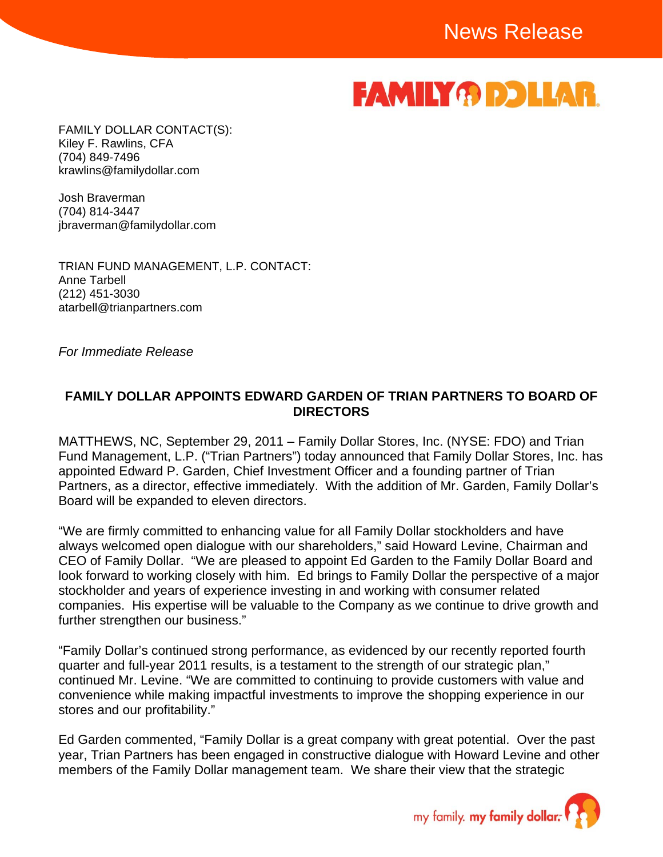# **FAMILY OD DLLAR**

FAMILY DOLLAR CONTACT(S): Kiley F. Rawlins, CFA (704) 849-7496 krawlins@familydollar.com

Josh Braverman (704) 814-3447 jbraverman@familydollar.com

TRIAN FUND MANAGEMENT, L.P. CONTACT: Anne Tarbell (212) 451-3030 atarbell@trianpartners.com

*For Immediate Release* 

#### **FAMILY DOLLAR APPOINTS EDWARD GARDEN OF TRIAN PARTNERS TO BOARD OF DIRECTORS**

MATTHEWS, NC, September 29, 2011 – Family Dollar Stores, Inc. (NYSE: FDO) and Trian Fund Management, L.P. ("Trian Partners") today announced that Family Dollar Stores, Inc. has appointed Edward P. Garden, Chief Investment Officer and a founding partner of Trian Partners, as a director, effective immediately. With the addition of Mr. Garden, Family Dollar's Board will be expanded to eleven directors.

"We are firmly committed to enhancing value for all Family Dollar stockholders and have always welcomed open dialogue with our shareholders," said Howard Levine, Chairman and CEO of Family Dollar. "We are pleased to appoint Ed Garden to the Family Dollar Board and look forward to working closely with him. Ed brings to Family Dollar the perspective of a major stockholder and years of experience investing in and working with consumer related companies. His expertise will be valuable to the Company as we continue to drive growth and further strengthen our business."

"Family Dollar's continued strong performance, as evidenced by our recently reported fourth quarter and full-year 2011 results, is a testament to the strength of our strategic plan," continued Mr. Levine. "We are committed to continuing to provide customers with value and convenience while making impactful investments to improve the shopping experience in our stores and our profitability."

Ed Garden commented, "Family Dollar is a great company with great potential. Over the past year, Trian Partners has been engaged in constructive dialogue with Howard Levine and other members of the Family Dollar management team. We share their view that the strategic

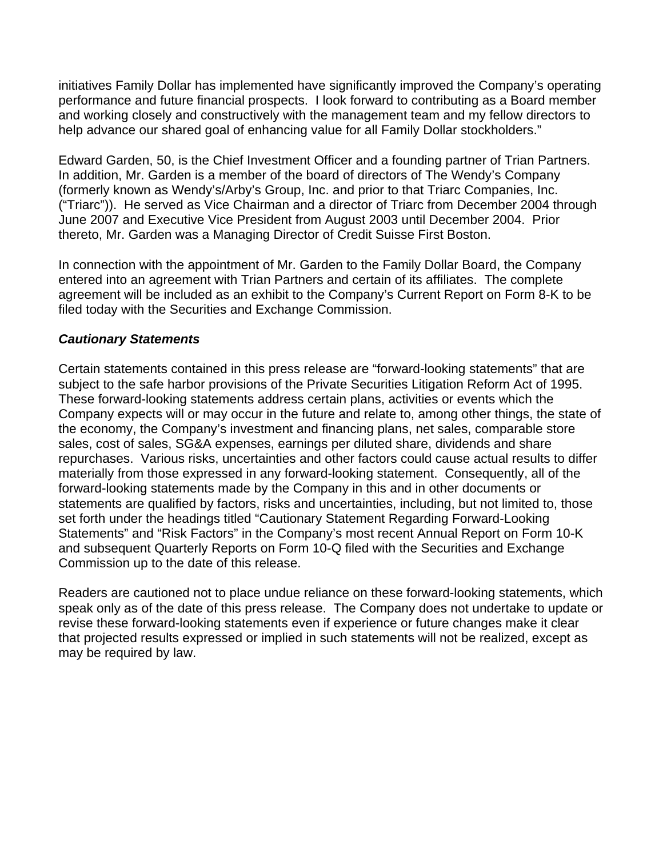initiatives Family Dollar has implemented have significantly improved the Company's operating performance and future financial prospects. I look forward to contributing as a Board member and working closely and constructively with the management team and my fellow directors to help advance our shared goal of enhancing value for all Family Dollar stockholders."

Edward Garden, 50, is the Chief Investment Officer and a founding partner of Trian Partners. In addition, Mr. Garden is a member of the board of directors of The Wendy's Company (formerly known as Wendy's/Arby's Group, Inc. and prior to that Triarc Companies, Inc. ("Triarc")). He served as Vice Chairman and a director of Triarc from December 2004 through June 2007 and Executive Vice President from August 2003 until December 2004. Prior thereto, Mr. Garden was a Managing Director of Credit Suisse First Boston.

In connection with the appointment of Mr. Garden to the Family Dollar Board, the Company entered into an agreement with Trian Partners and certain of its affiliates. The complete agreement will be included as an exhibit to the Company's Current Report on Form 8-K to be filed today with the Securities and Exchange Commission.

### *Cautionary Statements*

Certain statements contained in this press release are "forward-looking statements" that are subject to the safe harbor provisions of the Private Securities Litigation Reform Act of 1995. These forward-looking statements address certain plans, activities or events which the Company expects will or may occur in the future and relate to, among other things, the state of the economy, the Company's investment and financing plans, net sales, comparable store sales, cost of sales, SG&A expenses, earnings per diluted share, dividends and share repurchases. Various risks, uncertainties and other factors could cause actual results to differ materially from those expressed in any forward-looking statement. Consequently, all of the forward-looking statements made by the Company in this and in other documents or statements are qualified by factors, risks and uncertainties, including, but not limited to, those set forth under the headings titled "Cautionary Statement Regarding Forward-Looking Statements" and "Risk Factors" in the Company's most recent Annual Report on Form 10-K and subsequent Quarterly Reports on Form 10-Q filed with the Securities and Exchange Commission up to the date of this release.

Readers are cautioned not to place undue reliance on these forward-looking statements, which speak only as of the date of this press release. The Company does not undertake to update or revise these forward-looking statements even if experience or future changes make it clear that projected results expressed or implied in such statements will not be realized, except as may be required by law.